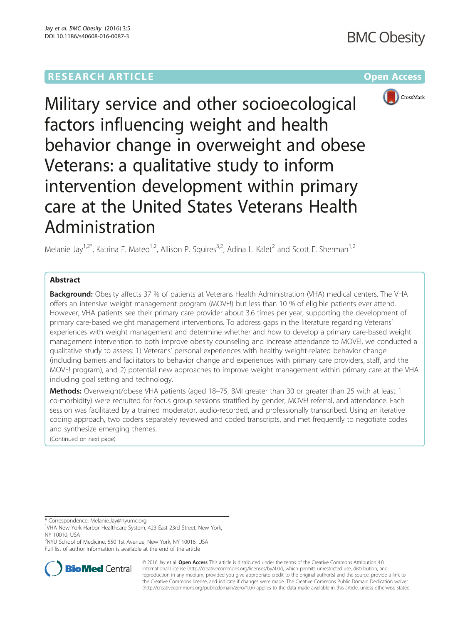# **RESEARCH ARTICLE Example 2014 12:30 The Community Community Community Community Community Community Community**



Military service and other socioecological factors influencing weight and health behavior change in overweight and obese Veterans: a qualitative study to inform intervention development within primary care at the United States Veterans Health Administration

Melanie Jay<sup>1,2\*</sup>, Katrina F. Mateo<sup>1,2</sup>, Allison P. Squires<sup>3,2</sup>, Adina L. Kalet<sup>2</sup> and Scott E. Sherman<sup>1,2</sup>

## Abstract

**Background:** Obesity affects 37 % of patients at Veterans Health Administration (VHA) medical centers. The VHA offers an intensive weight management program (MOVE!) but less than 10 % of eligible patients ever attend. However, VHA patients see their primary care provider about 3.6 times per year, supporting the development of primary care-based weight management interventions. To address gaps in the literature regarding Veterans' experiences with weight management and determine whether and how to develop a primary care-based weight management intervention to both improve obesity counseling and increase attendance to MOVE!, we conducted a qualitative study to assess: 1) Veterans' personal experiences with healthy weight-related behavior change (including barriers and facilitators to behavior change and experiences with primary care providers, staff, and the MOVE! program), and 2) potential new approaches to improve weight management within primary care at the VHA including goal setting and technology.

Methods: Overweight/obese VHA patients (aged 18-75, BMI greater than 30 or greater than 25 with at least 1 co-morbidity) were recruited for focus group sessions stratified by gender, MOVE! referral, and attendance. Each session was facilitated by a trained moderator, audio-recorded, and professionally transcribed. Using an iterative coding approach, two coders separately reviewed and coded transcripts, and met frequently to negotiate codes and synthesize emerging themes.

(Continued on next page)

\* Correspondence: [Melanie.Jay@nyumc.org](mailto:Melanie.Jay@nyumc.org) <sup>1</sup>

2 NYU School of Medicine, 550 1st Avenue, New York, NY 10016, USA Full list of author information is available at the end of the article



© 2016 Jay et al. Open Access This article is distributed under the terms of the Creative Commons Attribution 4.0 International License [\(http://creativecommons.org/licenses/by/4.0/](http://creativecommons.org/licenses/by/4.0/)), which permits unrestricted use, distribution, and reproduction in any medium, provided you give appropriate credit to the original author(s) and the source, provide a link to the Creative Commons license, and indicate if changes were made. The Creative Commons Public Domain Dedication waiver [\(http://creativecommons.org/publicdomain/zero/1.0/](http://creativecommons.org/publicdomain/zero/1.0/)) applies to the data made available in this article, unless otherwise stated.

<sup>&</sup>lt;sup>1</sup>VHA New York Harbor Healthcare System, 423 East 23rd Street, New York, NY 10010, USA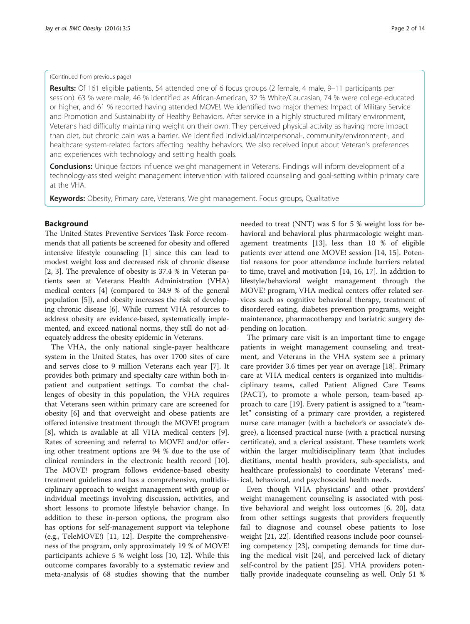#### (Continued from previous page)

**Results:** Of 161 eligible patients, 54 attended one of 6 focus groups (2 female, 4 male, 9–11 participants per session): 63 % were male, 46 % identified as African-American, 32 % White/Caucasian, 74 % were college-educated or higher, and 61 % reported having attended MOVE!. We identified two major themes: Impact of Military Service and Promotion and Sustainability of Healthy Behaviors. After service in a highly structured military environment, Veterans had difficulty maintaining weight on their own. They perceived physical activity as having more impact than diet, but chronic pain was a barrier. We identified individual/interpersonal-, community/environment-, and healthcare system-related factors affecting healthy behaviors. We also received input about Veteran's preferences and experiences with technology and setting health goals.

Conclusions: Unique factors influence weight management in Veterans. Findings will inform development of a technology-assisted weight management intervention with tailored counseling and goal-setting within primary care at the VHA.

Keywords: Obesity, Primary care, Veterans, Weight management, Focus groups, Qualitative

## Background

The United States Preventive Services Task Force recommends that all patients be screened for obesity and offered intensive lifestyle counseling [[1](#page-11-0)] since this can lead to modest weight loss and decreased risk of chronic disease [[2, 3\]](#page-11-0). The prevalence of obesity is 37.4 % in Veteran patients seen at Veterans Health Administration (VHA) medical centers [\[4](#page-11-0)] (compared to 34.9 % of the general population [\[5](#page-11-0)]), and obesity increases the risk of developing chronic disease [\[6](#page-11-0)]. While current VHA resources to address obesity are evidence-based, systematically implemented, and exceed national norms, they still do not adequately address the obesity epidemic in Veterans.

The VHA, the only national single-payer healthcare system in the United States, has over 1700 sites of care and serves close to 9 million Veterans each year [[7\]](#page-11-0). It provides both primary and specialty care within both inpatient and outpatient settings. To combat the challenges of obesity in this population, the VHA requires that Veterans seen within primary care are screened for obesity [[6\]](#page-11-0) and that overweight and obese patients are offered intensive treatment through the MOVE! program [[8\]](#page-11-0), which is available at all VHA medical centers [\[9](#page-11-0)]. Rates of screening and referral to MOVE! and/or offering other treatment options are 94 % due to the use of clinical reminders in the electronic health record [\[10](#page-11-0)]. The MOVE! program follows evidence-based obesity treatment guidelines and has a comprehensive, multidisciplinary approach to weight management with group or individual meetings involving discussion, activities, and short lessons to promote lifestyle behavior change. In addition to these in-person options, the program also has options for self-management support via telephone (e.g., TeleMOVE!) [[11](#page-11-0), [12](#page-11-0)]. Despite the comprehensiveness of the program, only approximately 19 % of MOVE! participants achieve 5 % weight loss [\[10](#page-11-0), [12\]](#page-11-0). While this outcome compares favorably to a systematic review and meta-analysis of 68 studies showing that the number

needed to treat (NNT) was 5 for 5 % weight loss for behavioral and behavioral plus pharmacologic weight management treatments [\[13\]](#page-11-0), less than 10 % of eligible patients ever attend one MOVE! session [[14, 15\]](#page-11-0). Potential reasons for poor attendance include barriers related to time, travel and motivation [[14](#page-11-0), [16](#page-11-0), [17](#page-11-0)]. In addition to lifestyle/behavioral weight management through the MOVE! program, VHA medical centers offer related services such as cognitive behavioral therapy, treatment of disordered eating, diabetes prevention programs, weight maintenance, pharmacotherapy and bariatric surgery depending on location.

The primary care visit is an important time to engage patients in weight management counseling and treatment, and Veterans in the VHA system see a primary care provider 3.6 times per year on average [\[18\]](#page-11-0). Primary care at VHA medical centers is organized into multidisciplinary teams, called Patient Aligned Care Teams (PACT), to promote a whole person, team-based approach to care [\[19](#page-11-0)]. Every patient is assigned to a "teamlet" consisting of a primary care provider, a registered nurse care manager (with a bachelor's or associate's degree), a licensed practical nurse (with a practical nursing certificate), and a clerical assistant. These teamlets work within the larger multidisciplinary team (that includes dietitians, mental health providers, sub-specialists, and healthcare professionals) to coordinate Veterans' medical, behavioral, and psychosocial health needs.

Even though VHA physicians' and other providers' weight management counseling is associated with positive behavioral and weight loss outcomes [[6, 20](#page-11-0)], data from other settings suggests that providers frequently fail to diagnose and counsel obese patients to lose weight [\[21](#page-11-0), [22](#page-11-0)]. Identified reasons include poor counseling competency [\[23](#page-11-0)], competing demands for time during the medical visit [[24\]](#page-11-0), and perceived lack of dietary self-control by the patient [\[25](#page-12-0)]. VHA providers potentially provide inadequate counseling as well. Only 51 %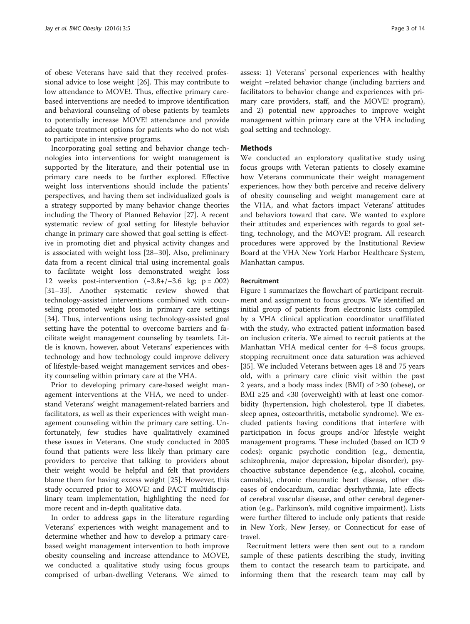of obese Veterans have said that they received professional advice to lose weight [[26](#page-12-0)]. This may contribute to low attendance to MOVE!. Thus, effective primary carebased interventions are needed to improve identification and behavioral counseling of obese patients by teamlets to potentially increase MOVE! attendance and provide adequate treatment options for patients who do not wish to participate in intensive programs.

Incorporating goal setting and behavior change technologies into interventions for weight management is supported by the literature, and their potential use in primary care needs to be further explored. Effective weight loss interventions should include the patients' perspectives, and having them set individualized goals is a strategy supported by many behavior change theories including the Theory of Planned Behavior [\[27](#page-12-0)]. A recent systematic review of goal setting for lifestyle behavior change in primary care showed that goal setting is effective in promoting diet and physical activity changes and is associated with weight loss [\[28](#page-12-0)–[30\]](#page-12-0). Also, preliminary data from a recent clinical trial using incremental goals to facilitate weight loss demonstrated weight loss 12 weeks post-intervention (−3.8+/−3.6 kg; p = .002) [[31](#page-12-0)–[33](#page-12-0)]. Another systematic review showed that technology-assisted interventions combined with counseling promoted weight loss in primary care settings [[34\]](#page-12-0). Thus, interventions using technology-assisted goal setting have the potential to overcome barriers and facilitate weight management counseling by teamlets. Little is known, however, about Veterans' experiences with technology and how technology could improve delivery of lifestyle-based weight management services and obesity counseling within primary care at the VHA.

Prior to developing primary care-based weight management interventions at the VHA, we need to understand Veterans' weight management-related barriers and facilitators, as well as their experiences with weight management counseling within the primary care setting. Unfortunately, few studies have qualitatively examined these issues in Veterans. One study conducted in 2005 found that patients were less likely than primary care providers to perceive that talking to providers about their weight would be helpful and felt that providers blame them for having excess weight [\[25\]](#page-12-0). However, this study occurred prior to MOVE! and PACT multidisciplinary team implementation, highlighting the need for more recent and in-depth qualitative data.

In order to address gaps in the literature regarding Veterans' experiences with weight management and to determine whether and how to develop a primary carebased weight management intervention to both improve obesity counseling and increase attendance to MOVE!, we conducted a qualitative study using focus groups comprised of urban-dwelling Veterans. We aimed to assess: 1) Veterans' personal experiences with healthy weight –related behavior change (including barriers and facilitators to behavior change and experiences with primary care providers, staff, and the MOVE! program), and 2) potential new approaches to improve weight management within primary care at the VHA including goal setting and technology.

## Methods

We conducted an exploratory qualitative study using focus groups with Veteran patients to closely examine how Veterans communicate their weight management experiences, how they both perceive and receive delivery of obesity counseling and weight management care at the VHA, and what factors impact Veterans' attitudes and behaviors toward that care. We wanted to explore their attitudes and experiences with regards to goal setting, technology, and the MOVE! program. All research procedures were approved by the Institutional Review Board at the VHA New York Harbor Healthcare System, Manhattan campus.

#### Recruitment

Figure [1](#page-3-0) summarizes the flowchart of participant recruitment and assignment to focus groups. We identified an initial group of patients from electronic lists compiled by a VHA clinical application coordinator unaffiliated with the study, who extracted patient information based on inclusion criteria. We aimed to recruit patients at the Manhattan VHA medical center for 4–8 focus groups, stopping recruitment once data saturation was achieved [[35\]](#page-12-0). We included Veterans between ages 18 and 75 years old, with a primary care clinic visit within the past 2 years, and a body mass index (BMI) of  $\geq 30$  (obese), or BMI ≥25 and <30 (overweight) with at least one comorbidity (hypertension, high cholesterol, type II diabetes, sleep apnea, osteoarthritis, metabolic syndrome). We excluded patients having conditions that interfere with participation in focus groups and/or lifestyle weight management programs. These included (based on ICD 9 codes): organic psychotic condition (e.g., dementia, schizophrenia, major depression, bipolar disorder), psychoactive substance dependence (e.g., alcohol, cocaine, cannabis), chronic rheumatic heart disease, other diseases of endocardium, cardiac dysrhythmia, late effects of cerebral vascular disease, and other cerebral degeneration (e.g., Parkinson's, mild cognitive impairment). Lists were further filtered to include only patients that reside in New York, New Jersey, or Connecticut for ease of travel.

Recruitment letters were then sent out to a random sample of these patients describing the study, inviting them to contact the research team to participate, and informing them that the research team may call by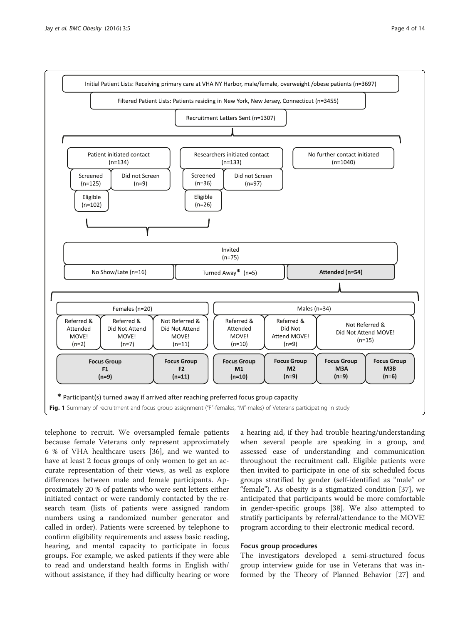<span id="page-3-0"></span>

telephone to recruit. We oversampled female patients because female Veterans only represent approximately 6 % of VHA healthcare users [\[36](#page-12-0)], and we wanted to have at least 2 focus groups of only women to get an accurate representation of their views, as well as explore differences between male and female participants. Approximately 20 % of patients who were sent letters either initiated contact or were randomly contacted by the research team (lists of patients were assigned random numbers using a randomized number generator and called in order). Patients were screened by telephone to confirm eligibility requirements and assess basic reading, hearing, and mental capacity to participate in focus groups. For example, we asked patients if they were able to read and understand health forms in English with/ without assistance, if they had difficulty hearing or wore

a hearing aid, if they had trouble hearing/understanding when several people are speaking in a group, and assessed ease of understanding and communication throughout the recruitment call. Eligible patients were then invited to participate in one of six scheduled focus groups stratified by gender (self-identified as "male" or "female"). As obesity is a stigmatized condition [[37](#page-12-0)], we anticipated that participants would be more comfortable in gender-specific groups [[38](#page-12-0)]. We also attempted to stratify participants by referral/attendance to the MOVE! program according to their electronic medical record.

## Focus group procedures

The investigators developed a semi-structured focus group interview guide for use in Veterans that was informed by the Theory of Planned Behavior [[27\]](#page-12-0) and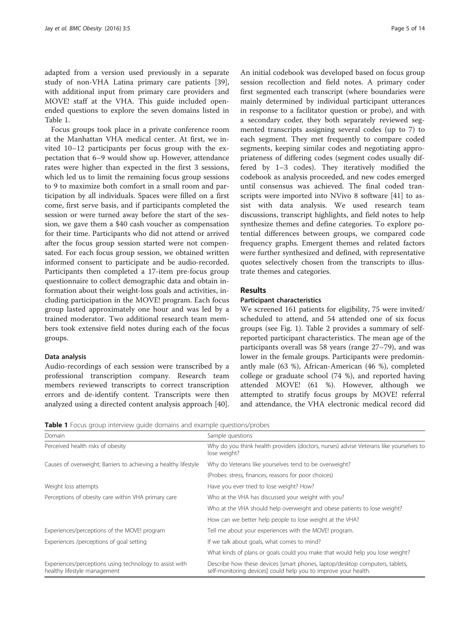adapted from a version used previously in a separate study of non-VHA Latina primary care patients [\[39](#page-12-0)], with additional input from primary care providers and MOVE! staff at the VHA. This guide included openended questions to explore the seven domains listed in Table 1.

Focus groups took place in a private conference room at the Manhattan VHA medical center. At first, we invited 10–12 participants per focus group with the expectation that 6–9 would show up. However, attendance rates were higher than expected in the first 3 sessions, which led us to limit the remaining focus group sessions to 9 to maximize both comfort in a small room and participation by all individuals. Spaces were filled on a first come, first serve basis, and if participants completed the session or were turned away before the start of the session, we gave them a \$40 cash voucher as compensation for their time. Participants who did not attend or arrived after the focus group session started were not compensated. For each focus group session, we obtained written informed consent to participate and be audio-recorded. Participants then completed a 17-item pre-focus group questionnaire to collect demographic data and obtain information about their weight-loss goals and activities, including participation in the MOVE! program. Each focus group lasted approximately one hour and was led by a trained moderator. Two additional research team members took extensive field notes during each of the focus groups.

#### Data analysis

Audio-recordings of each session were transcribed by a professional transcription company. Research team members reviewed transcripts to correct transcription errors and de-identify content. Transcripts were then analyzed using a directed content analysis approach [\[40](#page-12-0)].

An initial codebook was developed based on focus group session recollection and field notes. A primary coder first segmented each transcript (where boundaries were mainly determined by individual participant utterances in response to a facilitator question or probe), and with a secondary coder, they both separately reviewed segmented transcripts assigning several codes (up to 7) to each segment. They met frequently to compare coded segments, keeping similar codes and negotiating appropriateness of differing codes (segment codes usually differed by 1–3 codes). They iteratively modified the codebook as analysis proceeded, and new codes emerged until consensus was achieved. The final coded transcripts were imported into NVivo 8 software [\[41](#page-12-0)] to assist with data analysis. We used research team discussions, transcript highlights, and field notes to help synthesize themes and define categories. To explore potential differences between groups, we compared code frequency graphs. Emergent themes and related factors were further synthesized and defined, with representative quotes selectively chosen from the transcripts to illustrate themes and categories.

### Results

#### Participant characteristics

We screened 161 patients for eligibility, 75 were invited/ scheduled to attend, and 54 attended one of six focus groups (see Fig. [1\)](#page-3-0). Table [2](#page-5-0) provides a summary of selfreported participant characteristics. The mean age of the participants overall was 58 years (range 27–79), and was lower in the female groups. Participants were predominantly male (63 %), African-American (46 %), completed college or graduate school (74 %), and reported having attended MOVE! (61 %). However, although we attempted to stratify focus groups by MOVE! referral and attendance, the VHA electronic medical record did

Table 1 Focus group interview quide domains and example questions/probes

| Domain                                                                                  | Sample questions                                                                                                                                |
|-----------------------------------------------------------------------------------------|-------------------------------------------------------------------------------------------------------------------------------------------------|
| Perceived health risks of obesity                                                       | Why do you think health providers (doctors, nurses) advise Veterans like yourselves to<br>lose weight?                                          |
| Causes of overweight; Barriers to achieving a healthy lifestyle                         | Why do Veterans like yourselves tend to be overweight?                                                                                          |
|                                                                                         | (Probes: stress, finances, reasons for poor choices)                                                                                            |
| Weight loss attempts                                                                    | Have you ever tried to lose weight? How?                                                                                                        |
| Perceptions of obesity care within VHA primary care                                     | Who at the VHA has discussed your weight with you?                                                                                              |
|                                                                                         | Who at the VHA should help overweight and obese patients to lose weight?                                                                        |
|                                                                                         | How can we better help people to lose weight at the VHA?                                                                                        |
| Experiences/perceptions of the MOVE! program                                            | Tell me about your experiences with the MOVE! program.                                                                                          |
| Experiences /perceptions of goal setting                                                | If we talk about goals, what comes to mind?                                                                                                     |
|                                                                                         | What kinds of plans or goals could you make that would help you lose weight?                                                                    |
| Experiences/perceptions using technology to assist with<br>healthy lifestyle management | Describe how these devices [smart phones, laptop/desktop computers, tablets,<br>self-monitoring devices] could help you to improve your health. |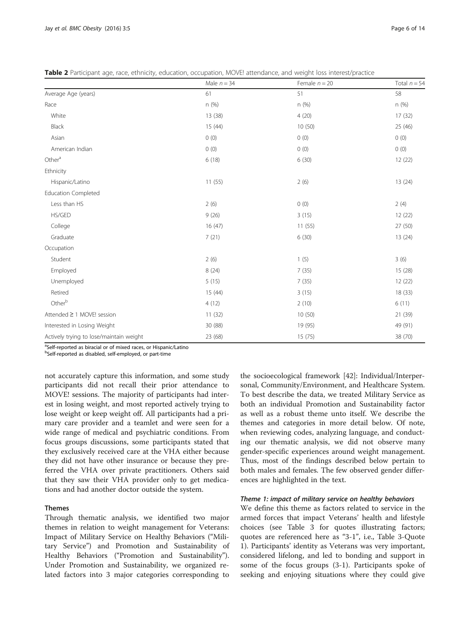|                                         | Male $n = 34$ | Female $n = 20$ | Total $n = 54$ |
|-----------------------------------------|---------------|-----------------|----------------|
| Average Age (years)                     | 61            | 51              | 58             |
| Race                                    | n (%)         | n (%)           | n(%)           |
| White                                   | 13 (38)       | 4(20)           | 17(32)         |
| Black                                   | 15(44)        | 10(50)          | 25 (46)        |
| Asian                                   | 0(0)          | 0(0)            | 0(0)           |
| American Indian                         | 0(0)          | 0(0)            | 0(0)           |
| Other <sup>a</sup>                      | 6(18)         | 6(30)           | 12 (22)        |
| Ethnicity                               |               |                 |                |
| Hispanic/Latino                         | 11(55)        | 2(6)            | 13 (24)        |
| <b>Education Completed</b>              |               |                 |                |
| Less than HS                            | 2(6)          | 0(0)            | 2(4)           |
| HS/GED                                  | 9(26)         | 3(15)           | 12(22)         |
| College                                 | 16(47)        | 11(55)          | 27 (50)        |
| Graduate                                | 7(21)         | 6(30)           | 13(24)         |
| Occupation                              |               |                 |                |
| Student                                 | 2(6)          | 1(5)            | 3(6)           |
| Employed                                | 8(24)         | 7(35)           | 15(28)         |
| Unemployed                              | 5(15)         | 7(35)           | 12(22)         |
| Retired                                 | 15(44)        | 3(15)           | 18 (33)        |
| Otherb                                  | 4(12)         | 2(10)           | 6(11)          |
| Attended ≥ 1 MOVE! session              | 11(32)        | 10(50)          | 21 (39)        |
| Interested in Losing Weight             | 30 (88)       | 19 (95)         | 49 (91)        |
| Actively trying to lose/maintain weight | 23 (68)       | 15 (75)         | 38 (70)        |

<span id="page-5-0"></span>Table 2 Participant age, race, ethnicity, education, occupation, MOVE! attendance, and weight loss interest/practice

<sup>a</sup>Self-reported as biracial or of mixed races, or Hispanic/Latino

<sup>b</sup>Self-reported as disabled, self-employed, or part-time

not accurately capture this information, and some study participants did not recall their prior attendance to MOVE! sessions. The majority of participants had interest in losing weight, and most reported actively trying to lose weight or keep weight off. All participants had a primary care provider and a teamlet and were seen for a wide range of medical and psychiatric conditions. From focus groups discussions, some participants stated that they exclusively received care at the VHA either because they did not have other insurance or because they preferred the VHA over private practitioners. Others said that they saw their VHA provider only to get medications and had another doctor outside the system.

### Themes

Through thematic analysis, we identified two major themes in relation to weight management for Veterans: Impact of Military Service on Healthy Behaviors ("Military Service") and Promotion and Sustainability of Healthy Behaviors ("Promotion and Sustainability"). Under Promotion and Sustainability, we organized related factors into 3 major categories corresponding to

the socioecological framework [\[42](#page-12-0)]: Individual/Interpersonal, Community/Environment, and Healthcare System. To best describe the data, we treated Military Service as both an individual Promotion and Sustainability factor as well as a robust theme unto itself. We describe the themes and categories in more detail below. Of note, when reviewing codes, analyzing language, and conducting our thematic analysis, we did not observe many gender-specific experiences around weight management. Thus, most of the findings described below pertain to both males and females. The few observed gender differences are highlighted in the text.

## Theme 1: impact of military service on healthy behaviors

We define this theme as factors related to service in the armed forces that impact Veterans' health and lifestyle choices (see Table [3](#page-6-0) for quotes illustrating factors; quotes are referenced here as "3-1", i.e., Table [3](#page-6-0)-Quote 1). Participants' identity as Veterans was very important, considered lifelong, and led to bonding and support in some of the focus groups (3-1). Participants spoke of seeking and enjoying situations where they could give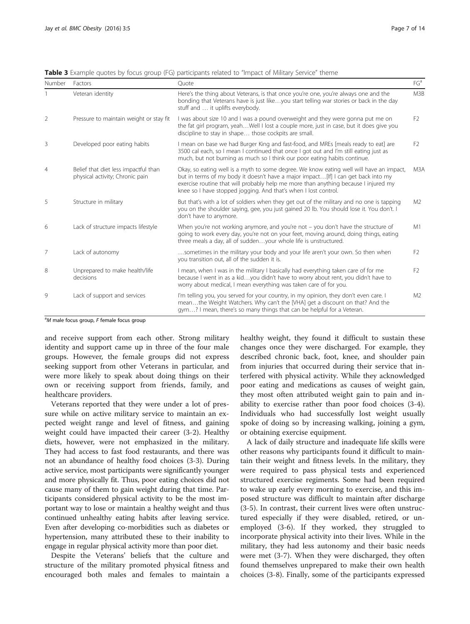| Number         | Factors                                                                 | Ouote                                                                                                                                                                                                                                                                                                                                  | FG <sup>a</sup>  |
|----------------|-------------------------------------------------------------------------|----------------------------------------------------------------------------------------------------------------------------------------------------------------------------------------------------------------------------------------------------------------------------------------------------------------------------------------|------------------|
|                | Veteran identity                                                        | Here's the thing about Veterans, is that once you're one, you're always one and the<br>bonding that Veterans have is just likeyou start telling war stories or back in the day<br>stuff and  it uplifts everybody.                                                                                                                     | M3B              |
| 2              | Pressure to maintain weight or stay fit                                 | I was about size 10 and I was a pound overweight and they were gonna put me on<br>the fat girl program, yeahWell I lost a couple more, just in case, but it does give you<br>discipline to stay in shape those cockpits are small.                                                                                                     | F <sub>2</sub>   |
| 3              | Developed poor eating habits                                            | I mean on base we had Burger King and fast-food, and MREs [meals ready to eat] are<br>3500 cal each, so I mean I continued that once I got out and I'm still eating just as<br>much, but not burning as much so I think our poor eating habits continue.                                                                               | F <sub>2</sub>   |
| $\overline{4}$ | Belief that diet less impactful than<br>physical activity; Chronic pain | Okay, so eating well is a myth to some degree. We know eating well will have an impact,<br>but in terms of my body it doesn't have a major impact[If] I can get back into my<br>exercise routine that will probably help me more than anything because I injured my<br>knee so I have stopped jogging. And that's when I lost control. | M <sub>3</sub> A |
| 5              | Structure in military                                                   | But that's with a lot of soldiers when they get out of the military and no one is tapping<br>you on the shoulder saying, gee, you just gained 20 lb. You should lose it. You don't. I<br>don't have to anymore.                                                                                                                        | M <sub>2</sub>   |
| 6              | Lack of structure impacts lifestyle                                     | When you're not working anymore, and you're not $-$ you don't have the structure of<br>going to work every day, you're not on your feet, moving around, doing things, eating<br>three meals a day, all of suddenyour whole life is unstructured.                                                                                       | M1               |
| 7              | Lack of autonomy                                                        | sometimes in the military your body and your life aren't your own. So then when<br>you transition out, all of the sudden it is.                                                                                                                                                                                                        | F <sub>2</sub>   |
| 8              | Unprepared to make health/life<br>decisions                             | I mean, when I was in the military I basically had everything taken care of for me<br>because I went in as a kidyou didn't have to worry about rent, you didn't have to<br>worry about medical, I mean everything was taken care of for you.                                                                                           | F <sub>2</sub>   |
| 9              | Lack of support and services                                            | I'm telling you, you served for your country, in my opinion, they don't even care. I<br>meanthe Weight Watchers. Why can't the [VHA] get a discount on that? And the<br>gym? I mean, there's so many things that can be helpful for a Veteran.                                                                                         | M <sup>2</sup>   |

<span id="page-6-0"></span>Table 3 Example quotes by focus group (FG) participants related to "Impact of Military Service" theme

<sup>a</sup>M male focus group, F female focus group

and receive support from each other. Strong military identity and support came up in three of the four male groups. However, the female groups did not express seeking support from other Veterans in particular, and were more likely to speak about doing things on their own or receiving support from friends, family, and healthcare providers.

Veterans reported that they were under a lot of pressure while on active military service to maintain an expected weight range and level of fitness, and gaining weight could have impacted their career (3-2). Healthy diets, however, were not emphasized in the military. They had access to fast food restaurants, and there was not an abundance of healthy food choices (3-3). During active service, most participants were significantly younger and more physically fit. Thus, poor eating choices did not cause many of them to gain weight during that time. Participants considered physical activity to be the most important way to lose or maintain a healthy weight and thus continued unhealthy eating habits after leaving service. Even after developing co-morbidities such as diabetes or hypertension, many attributed these to their inability to engage in regular physical activity more than poor diet.

Despite the Veterans' beliefs that the culture and structure of the military promoted physical fitness and encouraged both males and females to maintain a healthy weight, they found it difficult to sustain these changes once they were discharged. For example, they described chronic back, foot, knee, and shoulder pain from injuries that occurred during their service that interfered with physical activity. While they acknowledged poor eating and medications as causes of weight gain, they most often attributed weight gain to pain and inability to exercise rather than poor food choices (3-4). Individuals who had successfully lost weight usually spoke of doing so by increasing walking, joining a gym, or obtaining exercise equipment.

A lack of daily structure and inadequate life skills were other reasons why participants found it difficult to maintain their weight and fitness levels. In the military, they were required to pass physical tests and experienced structured exercise regiments. Some had been required to wake up early every morning to exercise, and this imposed structure was difficult to maintain after discharge (3-5). In contrast, their current lives were often unstructured especially if they were disabled, retired, or unemployed (3-6). If they worked, they struggled to incorporate physical activity into their lives. While in the military, they had less autonomy and their basic needs were met (3-7). When they were discharged, they often found themselves unprepared to make their own health choices (3-8). Finally, some of the participants expressed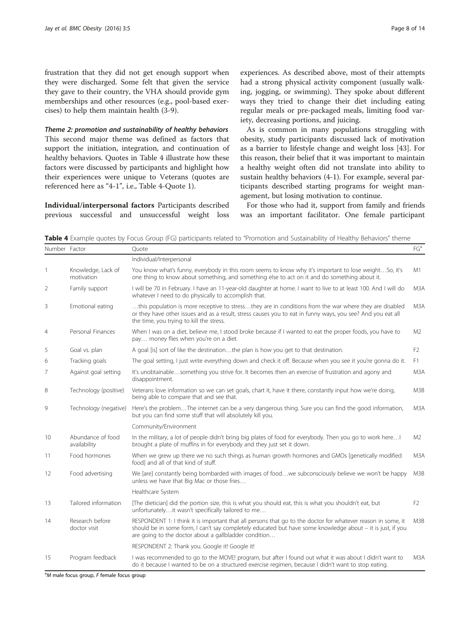frustration that they did not get enough support when they were discharged. Some felt that given the service they gave to their country, the VHA should provide gym memberships and other resources (e.g., pool-based exercises) to help them maintain health (3-9).

Theme 2: promotion and sustainability of healthy behaviors This second major theme was defined as factors that support the initiation, integration, and continuation of healthy behaviors. Quotes in Table 4 illustrate how these factors were discussed by participants and highlight how their experiences were unique to Veterans (quotes are referenced here as "4-1", i.e., Table 4-Quote 1).

Individual/interpersonal factors Participants described previous successful and unsuccessful weight loss

experiences. As described above, most of their attempts had a strong physical activity component (usually walking, jogging, or swimming). They spoke about different ways they tried to change their diet including eating regular meals or pre-packaged meals, limiting food variety, decreasing portions, and juicing.

As is common in many populations struggling with obesity, study participants discussed lack of motivation as a barrier to lifestyle change and weight loss [[43\]](#page-12-0). For this reason, their belief that it was important to maintain a healthy weight often did not translate into ability to sustain healthy behaviors (4-1). For example, several participants described starting programs for weight management, but losing motivation to continue.

For those who had it, support from family and friends was an important facilitator. One female participant

Table 4 Example quotes by Focus Group (FG) participants related to "Promotion and Sustainability of Healthy Behaviors" theme

| Number Factor |                                   | Ouote                                                                                                                                                                                                                                                                               | FG <sup>a</sup>  |
|---------------|-----------------------------------|-------------------------------------------------------------------------------------------------------------------------------------------------------------------------------------------------------------------------------------------------------------------------------------|------------------|
|               |                                   | Individual/Interpersonal                                                                                                                                                                                                                                                            |                  |
| $\mathbf{1}$  | Knowledge, Lack of<br>motivation  | You know what's funny, everybody in this room seems to know why it's important to lose weightSo, it's<br>one thing to know about something, and something else to act on it and do something about it.                                                                              | M1               |
| 2             | Family support                    | I will be 70 in February. I have an 11-year-old daughter at home. I want to live to at least 100. And I will do<br>whatever I need to do physically to accomplish that.                                                                                                             | M <sub>3</sub> A |
| 3             | Emotional eating                  | this population is more receptive to stressthey are in conditions from the war where they are disabled<br>or they have other issues and as a result, stress causes you to eat in funny ways, you see? And you eat all<br>the time, you trying to kill the stress.                   | M <sub>3</sub> A |
| 4             | Personal Finances                 | When I was on a diet, believe me, I stood broke because if I wanted to eat the proper foods, you have to<br>pay money flies when you're on a diet.                                                                                                                                  | M2               |
| 5             | Goal vs. plan                     | A goal [is] sort of like the destinationthe plan is how you get to that destination.                                                                                                                                                                                                | F <sub>2</sub>   |
| 6             | Tracking goals                    | The goal setting, I just write everything down and check it off. Because when you see it you're gonna do it.                                                                                                                                                                        | F1               |
| 7             | Against goal setting              | It's unobtainablesomething you strive for. It becomes then an exercise of frustration and agony and<br>disappointment.                                                                                                                                                              | M <sub>3</sub> A |
| 8             | Technology (positive)             | Veterans love information so we can set goals, chart it, have it there, constantly input how we're doing,<br>being able to compare that and see that.                                                                                                                               | M3B              |
| 9             | Technology (negative)             | Here's the problemThe internet can be a very dangerous thing. Sure you can find the good information,<br>but you can find some stuff that will absolutely kill you.                                                                                                                 | M3A              |
|               |                                   | Community/Environment                                                                                                                                                                                                                                                               |                  |
| 10            | Abundance of food<br>availability | In the military, a lot of people didn't bring big plates of food for everybody. Then you go to work here I<br>brought a plate of muffins in for everybody and they just set it down.                                                                                                | M <sub>2</sub>   |
| 11            | Food hormones                     | When we grew up there we no such things as human growth hormones and GMOs [genetically modified<br>foodl and all of that kind of stuff.                                                                                                                                             | M3A              |
| 12            | Food advertising                  | We [are] constantly being bombarded with images of foodwe subconsciously believe we won't be happy<br>unless we have that Big Mac or those fries                                                                                                                                    | M3B              |
|               |                                   | Healthcare System                                                                                                                                                                                                                                                                   |                  |
| 13            | Tailored information              | [The dietician] did the portion size, this is what you should eat, this is what you shouldn't eat, but<br>unfortunatelyit wasn't specifically tailored to me                                                                                                                        | F <sub>2</sub>   |
| 14            | Research before<br>doctor visit   | RESPONDENT 1: I think it is important that all persons that go to the doctor for whatever reason in some, it<br>should be in some form, I can't say completely educated but have some knowledge about – it is just, if you<br>are going to the doctor about a gallbladder condition | M3B              |
|               |                                   | RESPONDENT 2: Thank you. Google it! Google it!                                                                                                                                                                                                                                      |                  |
| 15            | Program feedback                  | I was recommended to go to the MOVE! program, but after I found out what it was about I didn't want to<br>do it because I wanted to be on a structured exercise regimen, because I didn't want to stop eating.                                                                      | M <sub>3</sub> A |

<sup>a</sup>M male focus group, F female focus group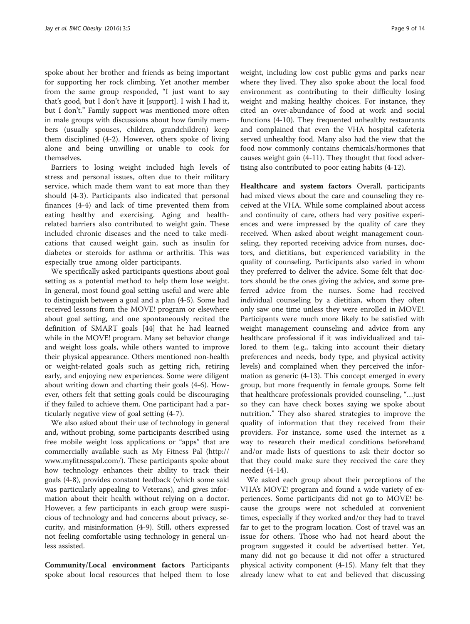spoke about her brother and friends as being important for supporting her rock climbing. Yet another member from the same group responded, "I just want to say that's good, but I don't have it [support]. I wish I had it, but I don't." Family support was mentioned more often in male groups with discussions about how family members (usually spouses, children, grandchildren) keep them disciplined (4-2). However, others spoke of living alone and being unwilling or unable to cook for themselves.

Barriers to losing weight included high levels of stress and personal issues, often due to their military service, which made them want to eat more than they should (4-3). Participants also indicated that personal finances (4-4) and lack of time prevented them from eating healthy and exercising. Aging and healthrelated barriers also contributed to weight gain. These included chronic diseases and the need to take medications that caused weight gain, such as insulin for diabetes or steroids for asthma or arthritis. This was especially true among older participants.

We specifically asked participants questions about goal setting as a potential method to help them lose weight. In general, most found goal setting useful and were able to distinguish between a goal and a plan (4-5). Some had received lessons from the MOVE! program or elsewhere about goal setting, and one spontaneously recited the definition of SMART goals [[44](#page-12-0)] that he had learned while in the MOVE! program. Many set behavior change and weight loss goals, while others wanted to improve their physical appearance. Others mentioned non-health or weight-related goals such as getting rich, retiring early, and enjoying new experiences. Some were diligent about writing down and charting their goals (4-6). However, others felt that setting goals could be discouraging if they failed to achieve them. One participant had a particularly negative view of goal setting (4-7).

We also asked about their use of technology in general and, without probing, some participants described using free mobile weight loss applications or "apps" that are commercially available such as My Fitness Pal [\(http://](http://www.myfitnesspal.com/) [www.myfitnesspal.com/\)](http://www.myfitnesspal.com/). These participants spoke about how technology enhances their ability to track their goals (4-8), provides constant feedback (which some said was particularly appealing to Veterans), and gives information about their health without relying on a doctor. However, a few participants in each group were suspicious of technology and had concerns about privacy, security, and misinformation (4-9). Still, others expressed not feeling comfortable using technology in general unless assisted.

Community/Local environment factors Participants spoke about local resources that helped them to lose weight, including low cost public gyms and parks near where they lived. They also spoke about the local food environment as contributing to their difficulty losing weight and making healthy choices. For instance, they cited an over-abundance of food at work and social functions (4-10). They frequented unhealthy restaurants and complained that even the VHA hospital cafeteria served unhealthy food. Many also had the view that the food now commonly contains chemicals/hormones that causes weight gain (4-11). They thought that food advertising also contributed to poor eating habits (4-12).

Healthcare and system factors Overall, participants had mixed views about the care and counseling they received at the VHA. While some complained about access and continuity of care, others had very positive experiences and were impressed by the quality of care they received. When asked about weight management counseling, they reported receiving advice from nurses, doctors, and dietitians, but experienced variability in the quality of counseling. Participants also varied in whom they preferred to deliver the advice. Some felt that doctors should be the ones giving the advice, and some preferred advice from the nurses. Some had received individual counseling by a dietitian, whom they often only saw one time unless they were enrolled in MOVE!. Participants were much more likely to be satisfied with weight management counseling and advice from any healthcare professional if it was individualized and tailored to them (e.g., taking into account their dietary preferences and needs, body type, and physical activity levels) and complained when they perceived the information as generic (4-13). This concept emerged in every group, but more frequently in female groups. Some felt that healthcare professionals provided counseling, "…just so they can have check boxes saying we spoke about nutrition." They also shared strategies to improve the quality of information that they received from their providers. For instance, some used the internet as a way to research their medical conditions beforehand and/or made lists of questions to ask their doctor so that they could make sure they received the care they needed (4-14).

We asked each group about their perceptions of the VHA's MOVE! program and found a wide variety of experiences. Some participants did not go to MOVE! because the groups were not scheduled at convenient times, especially if they worked and/or they had to travel far to get to the program location. Cost of travel was an issue for others. Those who had not heard about the program suggested it could be advertised better. Yet, many did not go because it did not offer a structured physical activity component (4-15). Many felt that they already knew what to eat and believed that discussing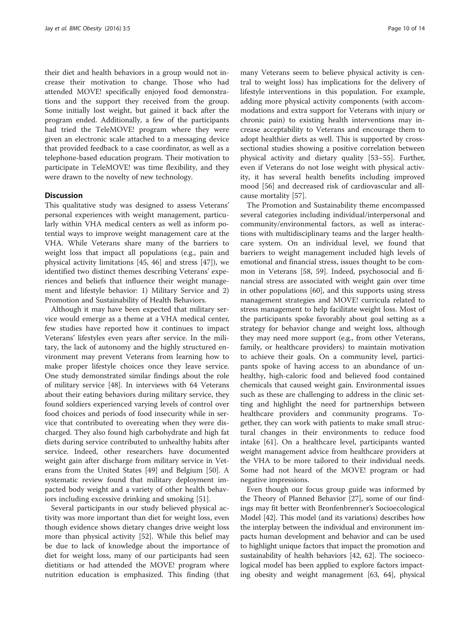their diet and health behaviors in a group would not increase their motivation to change. Those who had attended MOVE! specifically enjoyed food demonstrations and the support they received from the group. Some initially lost weight, but gained it back after the program ended. Additionally, a few of the participants had tried the TeleMOVE! program where they were given an electronic scale attached to a messaging device that provided feedback to a case coordinator, as well as a telephone-based education program. Their motivation to participate in TeleMOVE! was time flexibility, and they were drawn to the novelty of new technology.

#### **Discussion**

This qualitative study was designed to assess Veterans' personal experiences with weight management, particularly within VHA medical centers as well as inform potential ways to improve weight management care at the VHA. While Veterans share many of the barriers to weight loss that impact all populations (e.g., pain and physical activity limitations [\[45](#page-12-0), [46\]](#page-12-0) and stress [\[47](#page-12-0)]), we identified two distinct themes describing Veterans' experiences and beliefs that influence their weight management and lifestyle behavior: 1) Military Service and 2) Promotion and Sustainability of Health Behaviors.

Although it may have been expected that military service would emerge as a theme at a VHA medical center, few studies have reported how it continues to impact Veterans' lifestyles even years after service. In the military, the lack of autonomy and the highly structured environment may prevent Veterans from learning how to make proper lifestyle choices once they leave service. One study demonstrated similar findings about the role of military service [\[48\]](#page-12-0). In interviews with 64 Veterans about their eating behaviors during military service, they found soldiers experienced varying levels of control over food choices and periods of food insecurity while in service that contributed to overeating when they were discharged. They also found high carbohydrate and high fat diets during service contributed to unhealthy habits after service. Indeed, other researchers have documented weight gain after discharge from military service in Veterans from the United States [\[49\]](#page-12-0) and Belgium [\[50](#page-12-0)]. A systematic review found that military deployment impacted body weight and a variety of other health behaviors including excessive drinking and smoking [[51\]](#page-12-0).

Several participants in our study believed physical activity was more important than diet for weight loss, even though evidence shows dietary changes drive weight loss more than physical activity [\[52\]](#page-12-0). While this belief may be due to lack of knowledge about the importance of diet for weight loss, many of our participants had seen dietitians or had attended the MOVE! program where nutrition education is emphasized. This finding (that

many Veterans seem to believe physical activity is central to weight loss) has implications for the delivery of lifestyle interventions in this population. For example, adding more physical activity components (with accommodations and extra support for Veterans with injury or chronic pain) to existing health interventions may increase acceptability to Veterans and encourage them to adopt healthier diets as well. This is supported by crosssectional studies showing a positive correlation between physical activity and dietary quality [[53](#page-12-0)–[55](#page-12-0)]. Further, even if Veterans do not lose weight with physical activity, it has several health benefits including improved mood [\[56](#page-12-0)] and decreased risk of cardiovascular and allcause mortality [\[57](#page-12-0)].

The Promotion and Sustainability theme encompassed several categories including individual/interpersonal and community/environmental factors, as well as interactions with multidisciplinary teams and the larger healthcare system. On an individual level, we found that barriers to weight management included high levels of emotional and financial stress, issues thought to be common in Veterans [[58, 59](#page-12-0)]. Indeed, psychosocial and financial stress are associated with weight gain over time in other populations [\[60\]](#page-12-0), and this supports using stress management strategies and MOVE! curricula related to stress management to help facilitate weight loss. Most of the participants spoke favorably about goal setting as a strategy for behavior change and weight loss, although they may need more support (e.g., from other Veterans, family, or healthcare providers) to maintain motivation to achieve their goals. On a community level, participants spoke of having access to an abundance of unhealthy, high-caloric food and believed food contained chemicals that caused weight gain. Environmental issues such as these are challenging to address in the clinic setting and highlight the need for partnerships between healthcare providers and community programs. Together, they can work with patients to make small structural changes in their environments to reduce food intake [\[61](#page-12-0)]. On a healthcare level, participants wanted weight management advice from healthcare providers at the VHA to be more tailored to their individual needs. Some had not heard of the MOVE! program or had negative impressions.

Even though our focus group guide was informed by the Theory of Planned Behavior [\[27\]](#page-12-0), some of our findings may fit better with Bronfenbrenner's Socioecological Model [[42](#page-12-0)]. This model (and its variations) describes how the interplay between the individual and environment impacts human development and behavior and can be used to highlight unique factors that impact the promotion and sustainability of health behaviors [\[42, 62\]](#page-12-0). The socioecological model has been applied to explore factors impacting obesity and weight management [\[63, 64\]](#page-12-0), physical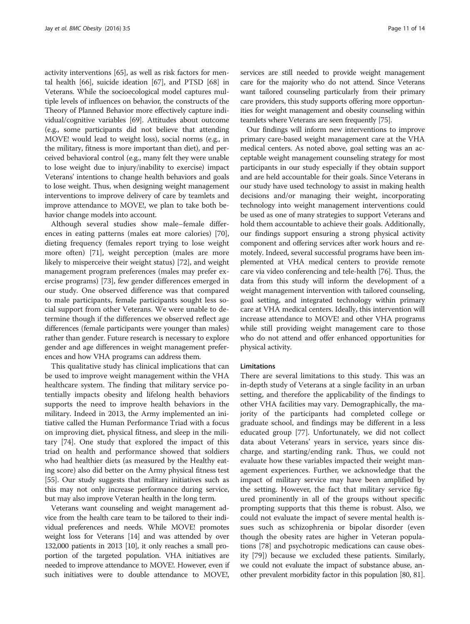activity interventions [\[65\]](#page-12-0), as well as risk factors for mental health [\[66](#page-12-0)], suicide ideation [[67](#page-12-0)], and PTSD [\[68\]](#page-12-0) in Veterans. While the socioecological model captures multiple levels of influences on behavior, the constructs of the Theory of Planned Behavior more effectively capture individual/cognitive variables [\[69\]](#page-12-0). Attitudes about outcome (e.g., some participants did not believe that attending MOVE! would lead to weight loss), social norms (e.g., in the military, fitness is more important than diet), and perceived behavioral control (e.g., many felt they were unable to lose weight due to injury/inability to exercise) impact Veterans' intentions to change health behaviors and goals to lose weight. Thus, when designing weight management interventions to improve delivery of care by teamlets and improve attendance to MOVE!, we plan to take both behavior change models into account.

Although several studies show male–female differences in eating patterns (males eat more calories) [\[70](#page-12-0)], dieting frequency (females report trying to lose weight more often) [[71](#page-12-0)], weight perception (males are more likely to misperceive their weight status) [[72](#page-12-0)], and weight management program preferences (males may prefer exercise programs) [\[73\]](#page-12-0), few gender differences emerged in our study. One observed difference was that compared to male participants, female participants sought less social support from other Veterans. We were unable to determine though if the differences we observed reflect age differences (female participants were younger than males) rather than gender. Future research is necessary to explore gender and age differences in weight management preferences and how VHA programs can address them.

This qualitative study has clinical implications that can be used to improve weight management within the VHA healthcare system. The finding that military service potentially impacts obesity and lifelong health behaviors supports the need to improve health behaviors in the military. Indeed in 2013, the Army implemented an initiative called the Human Performance Triad with a focus on improving diet, physical fitness, and sleep in the military [[74](#page-12-0)]. One study that explored the impact of this triad on health and performance showed that soldiers who had healthier diets (as measured by the Healthy eating score) also did better on the Army physical fitness test [[55](#page-12-0)]. Our study suggests that military initiatives such as this may not only increase performance during service, but may also improve Veteran health in the long term.

Veterans want counseling and weight management advice from the health care team to be tailored to their individual preferences and needs. While MOVE! promotes weight loss for Veterans [\[14](#page-11-0)] and was attended by over 132,000 patients in 2013 [[10](#page-11-0)], it only reaches a small proportion of the targeted population. VHA initiatives are needed to improve attendance to MOVE!. However, even if such initiatives were to double attendance to MOVE!, services are still needed to provide weight management care for the majority who do not attend. Since Veterans want tailored counseling particularly from their primary care providers, this study supports offering more opportunities for weight management and obesity counseling within teamlets where Veterans are seen frequently [[75\]](#page-12-0).

Our findings will inform new interventions to improve primary care-based weight management care at the VHA medical centers. As noted above, goal setting was an acceptable weight management counseling strategy for most participants in our study especially if they obtain support and are held accountable for their goals. Since Veterans in our study have used technology to assist in making health decisions and/or managing their weight, incorporating technology into weight management interventions could be used as one of many strategies to support Veterans and hold them accountable to achieve their goals. Additionally, our findings support ensuring a strong physical activity component and offering services after work hours and remotely. Indeed, several successful programs have been implemented at VHA medical centers to provide remote care via video conferencing and tele-health [[76](#page-13-0)]. Thus, the data from this study will inform the development of a weight management intervention with tailored counseling, goal setting, and integrated technology within primary care at VHA medical centers. Ideally, this intervention will increase attendance to MOVE! and other VHA programs while still providing weight management care to those who do not attend and offer enhanced opportunities for physical activity.

#### Limitations

There are several limitations to this study. This was an in-depth study of Veterans at a single facility in an urban setting, and therefore the applicability of the findings to other VHA facilities may vary. Demographically, the majority of the participants had completed college or graduate school, and findings may be different in a less educated group [\[77](#page-13-0)]. Unfortunately, we did not collect data about Veterans' years in service, years since discharge, and starting/ending rank. Thus, we could not evaluate how these variables impacted their weight management experiences. Further, we acknowledge that the impact of military service may have been amplified by the setting. However, the fact that military service figured prominently in all of the groups without specific prompting supports that this theme is robust. Also, we could not evaluate the impact of severe mental health issues such as schizophrenia or bipolar disorder (even though the obesity rates are higher in Veteran populations [\[78\]](#page-13-0) and psychotropic medications can cause obesity [[79](#page-13-0)]) because we excluded these patients. Similarly, we could not evaluate the impact of substance abuse, another prevalent morbidity factor in this population [[80](#page-13-0), [81](#page-13-0)].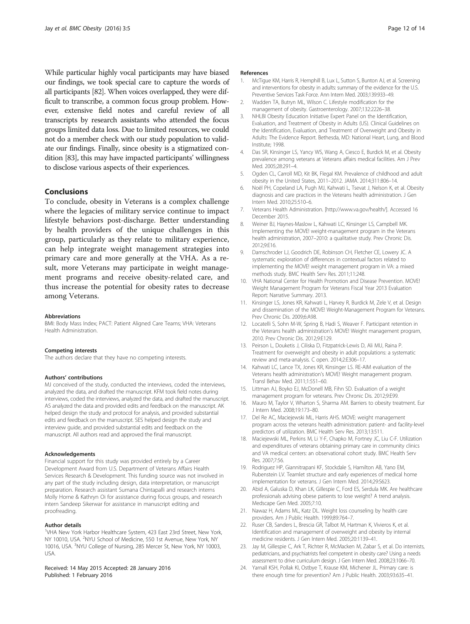<span id="page-11-0"></span>While particular highly vocal participants may have biased our findings, we took special care to capture the words of all participants [[82\]](#page-13-0). When voices overlapped, they were difficult to transcribe, a common focus group problem. However, extensive field notes and careful review of all transcripts by research assistants who attended the focus groups limited data loss. Due to limited resources, we could not do a member check with our study population to validate our findings. Finally, since obesity is a stigmatized condition [\[83\]](#page-13-0), this may have impacted participants' willingness to disclose various aspects of their experiences.

## Conclusions

To conclude, obesity in Veterans is a complex challenge where the legacies of military service continue to impact lifestyle behaviors post-discharge. Better understanding by health providers of the unique challenges in this group, particularly as they relate to military experience, can help integrate weight management strategies into primary care and more generally at the VHA. As a result, more Veterans may participate in weight management programs and receive obesity-related care, and thus increase the potential for obesity rates to decrease among Veterans.

#### Abbreviations

BMI: Body Mass Index; PACT: Patient Aligned Care Teams; VHA: Veterans Health Administration.

#### Competing interests

The authors declare that they have no competing interests.

#### Authors' contributions

MJ conceived of the study, conducted the interviews, coded the interviews, analyzed the data, and drafted the manuscript. KFM took field notes during interviews, coded the interviews, analyzed the data, and drafted the manuscript. AS analyzed the data and provided edits and feedback on the manuscript. AK helped design the study and protocol for analysis, and provided substantial edits and feedback on the manuscript. SES helped design the study and interview guide, and provided substantial edits and feedback on the manuscript. All authors read and approved the final manuscript.

#### Acknowledgements

Financial support for this study was provided entirely by a Career Development Award from U.S. Department of Veterans Affairs Health Services Research & Development. This funding source was not involved in any part of the study including design, data interpretation, or manuscript preparation. Research assistant Sumana Chintapalli and research interns Molly Horne & Kathryn Oi for assistance during focus groups, and research intern Sandeep Sikerwar for assistance in manuscript editing and proofreading.

#### Author details

<sup>1</sup>VHA New York Harbor Healthcare System, 423 East 23rd Street, New York, NY 10010, USA. <sup>2</sup>NYU School of Medicine, 550 1st Avenue, New York, NY 10016, USA. <sup>3</sup>NYU College of Nursing, 285 Mercer St, New York, NY 10003, USA.

#### Received: 14 May 2015 Accepted: 28 January 2016 Published: 1 February 2016

#### References

- 1. McTigue KM, Harris R, Hemphill B, Lux L, Sutton S, Bunton AJ, et al. Screening and interventions for obesity in adults: summary of the evidence for the U.S. Preventive Services Task Force. Ann Intern Med. 2003;139:933–49.
- 2. Wadden TA, Butryn ML, Wilson C. Lifestyle modification for the management of obesity. Gastroenterology. 2007;132:2226–38.
- 3. NHLBI Obesity Education Initiative Expert Panel on the Identification, Evaluation, and Treatment of Obesity in Adults (US). Clinical Guidelines on the Identification, Evaluation, and Treatment of Overweight and Obesity in Adults: The Evidence Report. Bethesda, MD: National Heart, Lung, and Blood Institute; 1998.
- 4. Das SR, Kinsinger LS, Yancy WS, Wang A, Ciesco E, Burdick M, et al. Obesity prevalence among veterans at Veterans affairs medical facilities. Am J Prev Med. 2005;28:291–4.
- 5. Ogden CL, Carroll MD, Kit BK, Flegal KM. Prevalence of childhood and adult obesity in the United States, 2011–2012. JAMA. 2014;311:806–14.
- 6. Noël PH, Copeland LA, Pugh MJ, Kahwati L, Tsevat J, Nelson K, et al. Obesity diagnosis and care practices in the Veterans health administration. J Gen Intern Med. 2010;25:510–6.
- 7. Veterans Health Administration. [<http://www.va.gov/health/>]. Accessed 16 December 2015.
- 8. Weiner BJ, Haynes-Maslow L, Kahwati LC, Kinsinger LS, Campbell MK. Implementing the MOVE! weight-management program in the Veterans health administration, 2007–2010: a qualitative study. Prev Chronic Dis. 2012;9:E16.
- 9. Damschroder LJ, Goodrich DE, Robinson CH, Fletcher CE, Lowery JC. A systematic exploration of differences in contextual factors related to implementing the MOVE! weight management program in VA: a mixed methods study. BMC Health Serv Res. 2011;11:248.
- 10. VHA National Center for Health Promotion and Disease Prevention. MOVE! Weight Management Program for Veterans Fiscal Year 2013 Evaluation Report: Narrative Summary. 2013.
- 11. Kinsinger LS, Jones KR, Kahwati L, Harvey R, Burdick M, Zele V, et al. Design and dissemination of the MOVE! Weight-Management Program for Veterans. Prev Chronic Dis. 2009;6:A98.
- 12. Locatelli S, Sohn M-W, Spring B, Hadi S, Weaver F. Participant retention in the Veterans health administration's MOVE! Weight management program, 2010. Prev Chronic Dis. 2012;9:E129.
- 13. Peirson L, Douketis J, Ciliska D, Fitzpatrick-Lewis D, Ali MU, Raina P. Treatment for overweight and obesity in adult populations: a systematic review and meta-analysis. C open. 2014;2:E306–17.
- 14. Kahwati LC, Lance TX, Jones KR, Kinsinger LS. RE-AIM evaluation of the Veterans health administration's MOVE! Weight management program. Transl Behav Med. 2011;1:551–60.
- 15. Littman AJ, Boyko EJ, McDonell MB, Fihn SD. Evaluation of a weight management program for veterans. Prev Chronic Dis. 2012;9:E99.
- 16. Mauro M, Taylor V, Wharton S, Sharma AM. Barriers to obesity treatment. Eur J Intern Med. 2008;19:173–80.
- 17. Del Re AC, Maciejewski ML, Harris AHS. MOVE: weight management program across the veterans health administration: patient- and facility-level predictors of utilization. BMC Health Serv Res. 2013;13:511.
- 18. Maciejewski ML, Perkins M, Li Y-F, Chapko M, Fortney JC, Liu C-F. Utilization and expenditures of veterans obtaining primary care in community clinics and VA medical centers: an observational cohort study. BMC Health Serv Res. 2007;7:56.
- 19. Rodriguez HP, Giannitrapani KF, Stockdale S, Hamilton AB, Yano EM, Rubenstein LV. Teamlet structure and early experiences of medical home implementation for veterans. J Gen Intern Med. 2014;29:S623.
- 20. Abid A, Galuska D, Khan LK, Gillespie C, Ford ES, Serdula MK. Are healthcare professionals advising obese patients to lose weight? A trend analysis. Medscape Gen Med. 2005;7:10.
- 21. Nawaz H, Adams ML, Katz DL. Weight loss counseling by health care providers. Am J Public Health. 1999;89:764–7.
- 22. Ruser CB, Sanders L, Brescia GR, Talbot M, Hartman K, Vivieros K, et al. Identification and management of overweight and obesity by internal medicine residents. J Gen Intern Med. 2005;20:1139–41.
- 23. Jay M, Gillespie C, Ark T, Richter R, McMacken M, Zabar S, et al. Do internists, pediatricians, and psychiatrists feel competent in obesity care? Using a needs assessment to drive curriculum design. J Gen Intern Med. 2008;23:1066–70.
- 24. Yarnall KSH, Pollak KI, Ostbye T, Krause KM, Michener JL. Primary care: is there enough time for prevention? Am J Public Health. 2003;93:635–41.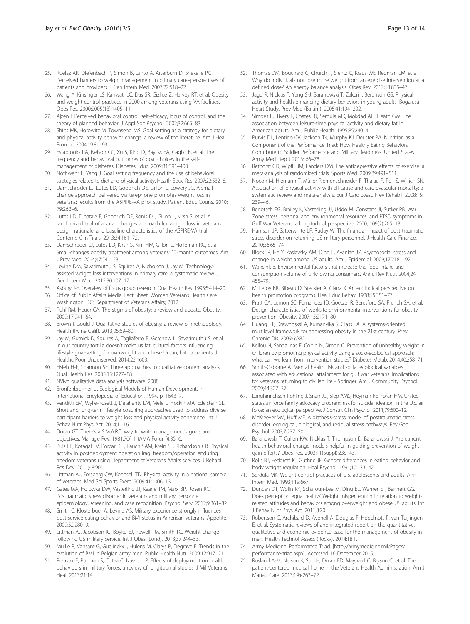- <span id="page-12-0"></span>25. Ruelaz AR, Diefenbach P, Simon B, Lanto A, Arterburn D, Shekelle PG. Perceived barriers to weight management in primary care–perspectives of patients and providers. J Gen Intern Med. 2007;22:518–22.
- 26. Wang A, Kinsinger LS, Kahwati LC, Das SR, Gizlice Z, Harvey RT, et al. Obesity and weight control practices in 2000 among veterans using VA facilities. Obes Res. 2000;2005(13):1405–11.
- 27. Ajzen I. Perceived behavioral control, self-efficacy, locus of control, and the theory of planned behavior. J Appl Soc Psychol. 2002;32:665–83.
- 28. Shilts MK, Horowitz M, Townsend MS. Goal setting as a strategy for dietary and physical activity behavior change: a review of the literature. Am J Heal Promot. 2004;19:81–93.
- 29. Estabrooks PA, Nelson CC, Xu S, King D, Bayliss EA, Gaglio B, et al. The frequency and behavioral outcomes of goal choices in the selfmanagement of diabetes. Diabetes Educ. 2009;31:391–400.
- 30. Nothwehr F, Yang J. Goal setting frequency and the use of behavioral strategies related to diet and physical activity. Health Educ Res. 2007;22:532–8.
- 31. Damschroder LJ, Lutes LD, Goodrich DE, Gillon L, Lowery JC. A smallchange approach delivered via telephone promotes weight loss in veterans: results from the ASPIRE-VA pilot study. Patient Educ Couns. 2010; 79:262–6.
- 32. Lutes LD, Dinatale E, Goodrich DE, Ronis DL, Gillon L, Kirsh S, et al. A randomized trial of a small changes approach for weight loss in veterans: design, rationale, and baseline characteristics of the ASPIRE-VA trial. Contemp Clin Trials. 2013;34:161–72.
- 33. Damschroder LJ, Lutes LD, Kirsh S, Kim HM, Gillon L, Holleman RG, et al. Small-changes obesity treatment among veterans: 12-month outcomes. Am J Prev Med. 2014;47:541–53.
- 34. Levine DM, Savarimuthu S, Squires A, Nicholson J, Jay M. Technologyassisted weight loss interventions in primary care: a systematic review. J Gen Intern Med. 2015;30:107–17.
- 35. Asbury J-E. Overview of focus group research. Qual Health Res. 1995;5:414–20.
- 36. Office of Public Affairs Media. Fact Sheet: Women Veterans Health Care.
- Washington, DC: Department of Veterans Affairs; 2012. 37. Puhl RM, Heuer CA. The stigma of obesity: a review and update. Obesity. 2009;17:941–64.
- 38. Brown I, Gould J. Qualitative studies of obesity: a review of methodology. Health (Irvine Calif). 2013;05:69–80.
- 39. Jay M, Gutnick D, Squires A, Tagliaferro B, Gerchow L, Savarimuthu S, et al. In our country tortilla doesn't make us fat: cultural factors influencing lifestyle goal-setting for overweight and obese Urban, Latina patients. J Healthc Poor Underserved. 2014;25:1603.
- 40. Hsieh H-F, Shannon SE. Three approaches to qualitative content analysis. Qual Health Res. 2005;15:1277–88.
- 41. NVivo qualitative data analysis software. 2008.
- 42. Bronfenbrenner U. Ecological Models of Human Development. In: International Encylopedia of Education. 1994. p. 1643–7.
- 43. Venditti EM, Wylie-Rosett J, Delahanty LM, Mele L, Hoskin MA, Edelstein SL. Short and long-term lifestyle coaching approaches used to address diverse participant barriers to weight loss and physical activity adherence. Int J Behav Nutr Phys Act. 2014;11:16.
- 44. Doran GT. There's a S.M.A.R.T. way to write management's goals and objectives. Manage Rev. 1981;70(11 (AMA Forum)):35–6.
- 45. Buis LR, Kotagal LV, Porcari CE, Rauch SAM, Krein SL, Richardson CR. Physical activity in postdeployment operation iraqi freedom/operation enduring freedom veterans using Department of Veterans Affairs services. J Rehabil Res Dev. 2011;48:901.
- 46. Littman AJ, Forsberg CW, Koepsell TD. Physical activity in a national sample of veterans. Med Sci Sports Exerc. 2009;41:1006–13.
- 47. Gates MA, Holowka DW, Vasterling JJ, Keane TM, Marx BP, Rosen RC. Posttraumatic stress disorder in veterans and military personnel: epidemiology, screening, and case recognition. Psychol Serv. 2012;9:361–82.
- 48. Smith C, Klosterbuer A, Levine AS. Military experience strongly influences post-service eating behavior and BMI status in American veterans. Appetite. 2009;52:280–9.
- 49. Littman AJ, Jacobson IG, Boyko EJ, Powell TM, Smith TC. Weight change following US military service. Int J Obes (Lond). 2013;37:244–53.
- 50. Mullie P, Vansant G, Guelinckx I, Hulens M, Clarys P, Degrave E. Trends in the evolution of BMI in Belgian army men. Public Health Nutr. 2009;12:917–21.
- 51. Pietrzak E, Pullman S, Cotea C, Nasveld P. Effects of deployment on health behaviours in military forces: a review of longitudinal studies. J Mil Veterans Heal. 2013;21:14.
- 52. Thomas DM, Bouchard C, Church T, Slentz C, Kraus WE, Redman LM, et al. Why do individuals not lose more weight from an exercise intervention at a defined dose? An energy balance analysis. Obes Rev. 2012;13:835–47.
- 53. Jago R, Nicklas T, Yang S-J, Baranowski T, Zakeri I, Berenson GS. Physical activity and health enhancing dietary behaviors in young adults: Bogalusa Heart Study. Prev Med (Baltim). 2005;41:194–202.
- Simoes EJ, Byers T, Coates RJ, Serdula MK, Mokdad AH, Heath GW. The association between leisure-time physical activity and dietary fat in American adults. Am J Public Health. 1995;85:240–4.
- 55. Purvis DL, Lentino CV, Jackson TK, Murphy KJ, Deuster PA. Nutrition as a Component of the Performance Triad: How Healthy Eating Behaviors Contribute to Soldier Performance and Military Readiness. United States Army Med Dep J 2013: 66–78
- 56. Rethorst CD, Wipfli BM, Landers DM. The antidepressive effects of exercise: a meta-analysis of randomized trials. Sports Med. 2009;39:491–511.
- 57. Nocon M, Hiemann T, Müller-Riemenschneider F, Thalau F, Roll S, Willich SN. Association of physical activity with all-cause and cardiovascular mortality: a systematic review and meta-analysis. Eur J Cardiovasc Prev Rehabil. 2008;15: 239–46.
- 58. Benotsch EG, Brailey K, Vasterling JJ, Uddo M, Constans JI, Sutker PB. War Zone stress, personal and environmental resources, and PTSD symptoms in Gulf War Veterans: a longitudinal perspective. 2000; 109(2):205–13.
- 59. Harrison JP, Satterwhite LF, Ruday W. The financial impact of post traumatic stress disorder on returning US military personnel. J Health Care Finance. 2010;36:65–74.
- 60. Block JP, He Y, Zaslavsky AM, Ding L, Ayanian JZ. Psychosocial stress and change in weight among US adults. Am J Epidemiol. 2009;170:181–92.
- 61. Wansink B. Environmental factors that increase the food intake and consumption volume of unknowing consumers. Annu Rev Nutr. 2004;24: 455–79.
- 62. McLeroy KR, Bibeau D, Steckler A, Glanz K. An ecological perspective on health promotion programs. Heal Educ Behav. 1988;15:351–77.
- 63. Pratt CA, Lemon SC, Fernandez ID, Goetzel R, Beresford SA, French SA, et al. Design characteristics of worksite environmental interventions for obesity prevention. Obesity. 2007;15:2171–80.
- 64. Huang TT, Drewnosksi A, Kumanyika S, Glass TA. A systems-oriented multilevel framework for addressing obesity in the 21st century. Prev Chronic Dis. 2009;6:A82.
- 65. Kellou N, Sandalinas F, Copin N, Simon C. Prevention of unhealthy weight in children by promoting physical activity using a socio-ecological approach: what can we learn from intervention studies? Diabetes Metab. 2014;40:258–71.
- 66. Smith-Osborne A. Mental health risk and social ecological variables associated with educational attainment for gulf war veterans: implications for veterans returning to civilian life - Springer. Am J Community Psychol. 2009;44:327–37.
- 67. Langhinrichsen-Rohling J, Snarr JD, Slep AMS, Heyman RE, Foran HM. United states air force family advocacy program: risk for suicidal ideation in the U.S. air force: an ecological perspective. J Consult Clin Psychol. 2011;79:600–12.
- 68. McKreever VM, Huff ME. A diathesis-stress model of posttraumatic stress disorder: ecological, biological, and residual stress pathways. Rev Gen Psychol. 2003;7:237–50.
- 69. Baranowski T, Cullen KW, Nicklas T, Thompson D, Baranowski J. Are current health behavioral change models helpful in guiding prevention of weight gain efforts? Obes Res. 2003;11(Suppl):23S–43.
- 70. Rolls BJ, Fedoroff IC, Guthrie JF. Gender differences in eating behavior and body weight regulation. Heal Psychol. 1991;10:133–42.
- 71. Serdula MK. Weight control practices of U.S. adolescents and adults. Ann Intern Med. 1993;119:667.
- 72. Duncan DT, Wolin KY, Scharoun-Lee M, Ding EL, Warner ET, Bennett GG. Does perception equal reality? Weight misperception in relation to weightrelated attitudes and behaviors among overweight and obese US adults. Int J Behav Nutr Phys Act. 2011;8:20.
- 73. Robertson C, Archibald D, Avenell A, Douglas F, Hoddinott P, van Teijlingen E, et al. Systematic reviews of and integrated report on the quantitative, qualitative and economic evidence base for the management of obesity in men. Health Technol Assess (Rockv). 2014;18:1.
- 74. Army Medicine: Performance Triad. [[http://armymedicine.mil/Pages/](http://armymedicine.mil/Pages/performance-triad.aspx) [performance-triad.aspx\]](http://armymedicine.mil/Pages/performance-triad.aspx). Accessed 16 December 2015.
- 75. Rosland A-M, Nelson K, Sun H, Dolan ED, Maynard C, Bryson C, et al. The patient-centered medical home in the Veterans Health Administration. Am J Manag Care. 2013;19:e263–72.